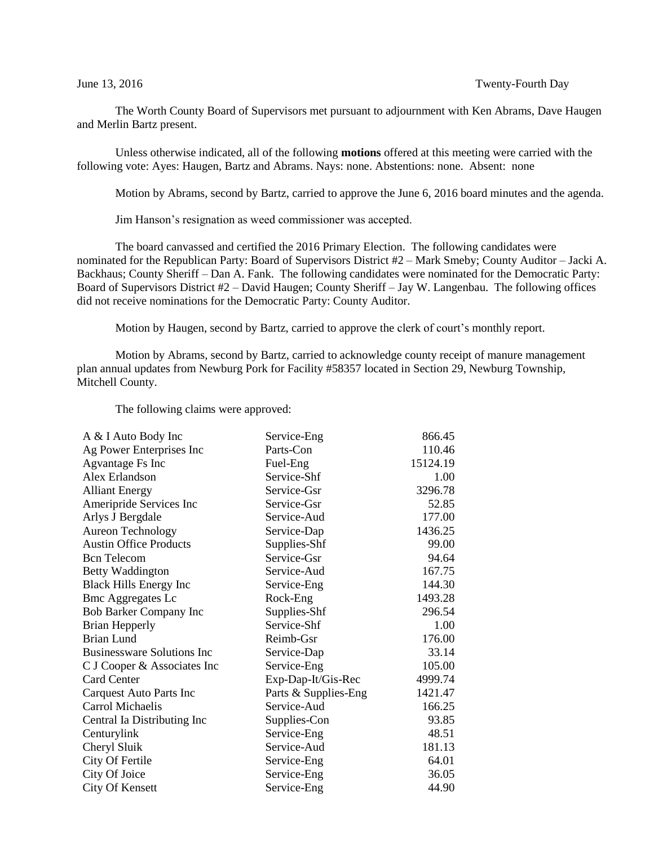The Worth County Board of Supervisors met pursuant to adjournment with Ken Abrams, Dave Haugen and Merlin Bartz present.

Unless otherwise indicated, all of the following **motions** offered at this meeting were carried with the following vote: Ayes: Haugen, Bartz and Abrams. Nays: none. Abstentions: none. Absent: none

Motion by Abrams, second by Bartz, carried to approve the June 6, 2016 board minutes and the agenda.

Jim Hanson's resignation as weed commissioner was accepted.

The board canvassed and certified the 2016 Primary Election. The following candidates were nominated for the Republican Party: Board of Supervisors District #2 – Mark Smeby; County Auditor – Jacki A. Backhaus; County Sheriff – Dan A. Fank. The following candidates were nominated for the Democratic Party: Board of Supervisors District #2 – David Haugen; County Sheriff – Jay W. Langenbau. The following offices did not receive nominations for the Democratic Party: County Auditor.

Motion by Haugen, second by Bartz, carried to approve the clerk of court's monthly report.

Motion by Abrams, second by Bartz, carried to acknowledge county receipt of manure management plan annual updates from Newburg Pork for Facility #58357 located in Section 29, Newburg Township, Mitchell County.

The following claims were approved:

| A & I Auto Body Inc               | Service-Eng          | 866.45   |
|-----------------------------------|----------------------|----------|
| Ag Power Enterprises Inc          | Parts-Con            | 110.46   |
| Agvantage Fs Inc                  | Fuel-Eng             | 15124.19 |
| Alex Erlandson                    | Service-Shf          | 1.00     |
| <b>Alliant Energy</b>             | Service-Gsr          | 3296.78  |
| Ameripride Services Inc           | Service-Gsr          | 52.85    |
| Arlys J Bergdale                  | Service-Aud          | 177.00   |
| <b>Aureon Technology</b>          | Service-Dap          | 1436.25  |
| <b>Austin Office Products</b>     | Supplies-Shf         | 99.00    |
| <b>Bcn</b> Telecom                | Service-Gsr          | 94.64    |
| Betty Waddington                  | Service-Aud          | 167.75   |
| <b>Black Hills Energy Inc</b>     | Service-Eng          | 144.30   |
| <b>Bmc Aggregates Lc</b>          | Rock-Eng             | 1493.28  |
| <b>Bob Barker Company Inc</b>     | Supplies-Shf         | 296.54   |
| <b>Brian Hepperly</b>             | Service-Shf          | 1.00     |
| <b>Brian Lund</b>                 | Reimb-Gsr            | 176.00   |
| <b>Businessware Solutions Inc</b> | Service-Dap          | 33.14    |
| C J Cooper & Associates Inc       | Service-Eng          | 105.00   |
| <b>Card Center</b>                | Exp-Dap-It/Gis-Rec   | 4999.74  |
| Carquest Auto Parts Inc           | Parts & Supplies-Eng | 1421.47  |
| Carrol Michaelis                  | Service-Aud          | 166.25   |
| Central Ia Distributing Inc       | Supplies-Con         | 93.85    |
| Centurylink                       | Service-Eng          | 48.51    |
| Cheryl Sluik                      | Service-Aud          | 181.13   |
| City Of Fertile                   | Service-Eng          | 64.01    |
| City Of Joice                     | Service-Eng          | 36.05    |
| <b>City Of Kensett</b>            | Service-Eng          | 44.90    |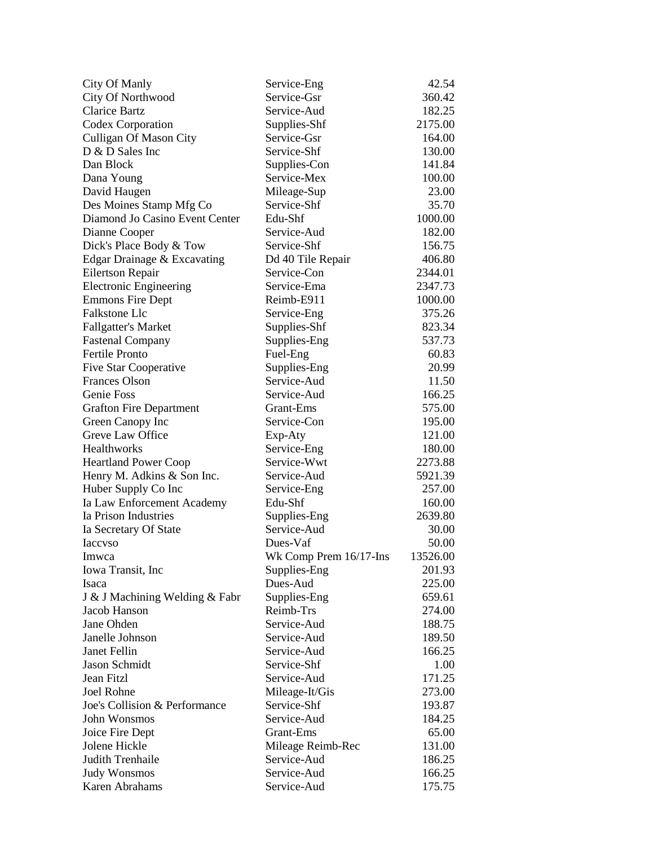| City Of Manly                                        | Service-Eng            | 42.54    |
|------------------------------------------------------|------------------------|----------|
| City Of Northwood                                    | Service-Gsr            | 360.42   |
| <b>Clarice Bartz</b>                                 | Service-Aud            | 182.25   |
| Codex Corporation                                    | Supplies-Shf           | 2175.00  |
| Culligan Of Mason City                               | Service-Gsr            | 164.00   |
| D & D Sales Inc                                      | Service-Shf            | 130.00   |
| Dan Block                                            | Supplies-Con           | 141.84   |
| Dana Young                                           | Service-Mex            | 100.00   |
| David Haugen                                         | Mileage-Sup            | 23.00    |
| Des Moines Stamp Mfg Co                              | Service-Shf            | 35.70    |
| Diamond Jo Casino Event Center                       | Edu-Shf                | 1000.00  |
| Dianne Cooper                                        | Service-Aud            | 182.00   |
| Dick's Place Body & Tow                              | Service-Shf            | 156.75   |
| Edgar Drainage & Excavating                          | Dd 40 Tile Repair      | 406.80   |
| <b>Eilertson Repair</b>                              | Service-Con            | 2344.01  |
| <b>Electronic Engineering</b>                        | Service-Ema            | 2347.73  |
| <b>Emmons Fire Dept</b>                              | Reimb-E911             | 1000.00  |
| Falkstone Llc                                        | Service-Eng            | 375.26   |
| <b>Fallgatter's Market</b>                           | Supplies-Shf           | 823.34   |
| <b>Fastenal Company</b>                              | Supplies-Eng           | 537.73   |
| <b>Fertile Pronto</b>                                | Fuel-Eng               | 60.83    |
|                                                      | Supplies-Eng           | 20.99    |
| <b>Five Star Cooperative</b><br><b>Frances Olson</b> | Service-Aud            | 11.50    |
| Genie Foss                                           | Service-Aud            | 166.25   |
|                                                      |                        |          |
| <b>Grafton Fire Department</b>                       | Grant-Ems              | 575.00   |
| Green Canopy Inc                                     | Service-Con            | 195.00   |
| Greve Law Office                                     | Exp-Aty                | 121.00   |
| <b>Healthworks</b>                                   | Service-Eng            | 180.00   |
| <b>Heartland Power Coop</b>                          | Service-Wwt            | 2273.88  |
| Henry M. Adkins & Son Inc.                           | Service-Aud            | 5921.39  |
| Huber Supply Co Inc                                  | Service-Eng            | 257.00   |
| Ia Law Enforcement Academy                           | Edu-Shf                | 160.00   |
| Ia Prison Industries                                 | Supplies-Eng           | 2639.80  |
| Ia Secretary Of State                                | Service-Aud            | 30.00    |
| <b>Iaccyso</b>                                       | Dues-Vaf               | 50.00    |
| Imwca                                                | Wk Comp Prem 16/17-Ins | 13526.00 |
| Iowa Transit, Inc.                                   | Supplies-Eng           | 201.93   |
| Isaca                                                | Dues-Aud               | 225.00   |
| J & J Machining Welding & Fabr                       | Supplies-Eng           | 659.61   |
| Jacob Hanson                                         | Reimb-Trs              | 274.00   |
| Jane Ohden                                           | Service-Aud            | 188.75   |
| Janelle Johnson                                      | Service-Aud            | 189.50   |
| Janet Fellin                                         | Service-Aud            | 166.25   |
| Jason Schmidt                                        | Service-Shf            | 1.00     |
| Jean Fitzl                                           | Service-Aud            | 171.25   |
| Joel Rohne                                           | Mileage-It/Gis         | 273.00   |
| Joe's Collision & Performance                        | Service-Shf            | 193.87   |
| John Wonsmos                                         | Service-Aud            | 184.25   |
| Joice Fire Dept                                      | Grant-Ems              | 65.00    |
| Jolene Hickle                                        | Mileage Reimb-Rec      | 131.00   |
| Judith Trenhaile                                     | Service-Aud            | 186.25   |
| <b>Judy Wonsmos</b>                                  | Service-Aud            | 166.25   |
| Karen Abrahams                                       | Service-Aud            | 175.75   |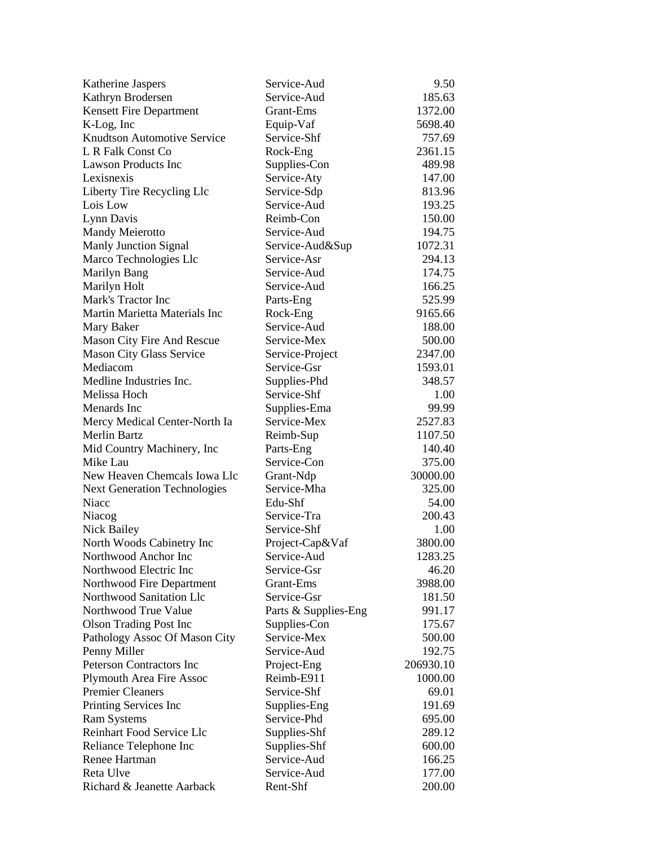| Katherine Jaspers                   | Service-Aud              | 9.50      |
|-------------------------------------|--------------------------|-----------|
| Kathryn Brodersen                   | Service-Aud              | 185.63    |
| Kensett Fire Department             | Grant-Ems                | 1372.00   |
| K-Log, Inc                          | Equip-Vaf                | 5698.40   |
| <b>Knudtson Automotive Service</b>  | Service-Shf              | 757.69    |
| L R Falk Const Co                   | Rock-Eng                 | 2361.15   |
| <b>Lawson Products Inc</b>          | Supplies-Con             | 489.98    |
| Lexisnexis                          | Service-Aty              | 147.00    |
| Liberty Tire Recycling Llc          | Service-Sdp              | 813.96    |
| Lois Low                            | Service-Aud              | 193.25    |
| Lynn Davis                          | Reimb-Con                | 150.00    |
| Mandy Meierotto                     | Service-Aud              | 194.75    |
| Manly Junction Signal               | Service-Aud⋑             | 1072.31   |
| Marco Technologies Llc              | Service-Asr              | 294.13    |
| Marilyn Bang                        | Service-Aud              | 174.75    |
| Marilyn Holt                        | Service-Aud              | 166.25    |
| Mark's Tractor Inc                  | Parts-Eng                | 525.99    |
| Martin Marietta Materials Inc       | Rock-Eng                 | 9165.66   |
| Mary Baker                          | Service-Aud              | 188.00    |
| Mason City Fire And Rescue          | Service-Mex              | 500.00    |
| <b>Mason City Glass Service</b>     | Service-Project          | 2347.00   |
| Mediacom                            | Service-Gsr              | 1593.01   |
| Medline Industries Inc.             | Supplies-Phd             | 348.57    |
| Melissa Hoch                        | Service-Shf              | 1.00      |
| Menards Inc                         | Supplies-Ema             | 99.99     |
| Mercy Medical Center-North Ia       | Service-Mex              | 2527.83   |
| Merlin Bartz                        | Reimb-Sup                | 1107.50   |
| Mid Country Machinery, Inc          | Parts-Eng                | 140.40    |
| Mike Lau                            | Service-Con              | 375.00    |
| New Heaven Chemcals Iowa Llc        |                          | 30000.00  |
|                                     | Grant-Ndp<br>Service-Mha | 325.00    |
| <b>Next Generation Technologies</b> |                          |           |
| Niacc                               | Edu-Shf                  | 54.00     |
| Niacog                              | Service-Tra              | 200.43    |
| Nick Bailey                         | Service-Shf              | 1.00      |
| North Woods Cabinetry Inc           | Project-Cap&Vaf          | 3800.00   |
| Northwood Anchor Inc                | Service-Aud              | 1283.25   |
| Northwood Electric Inc              | Service-Gsr              | 46.20     |
| Northwood Fire Department           | Grant-Ems                | 3988.00   |
| Northwood Sanitation Llc            | Service-Gsr              | 181.50    |
| Northwood True Value                | Parts & Supplies-Eng     | 991.17    |
| <b>Olson Trading Post Inc</b>       | Supplies-Con             | 175.67    |
| Pathology Assoc Of Mason City       | Service-Mex              | 500.00    |
| Penny Miller                        | Service-Aud              | 192.75    |
| Peterson Contractors Inc            | Project-Eng              | 206930.10 |
| <b>Plymouth Area Fire Assoc</b>     | Reimb-E911               | 1000.00   |
| <b>Premier Cleaners</b>             | Service-Shf              | 69.01     |
| Printing Services Inc               | Supplies-Eng             | 191.69    |
| <b>Ram Systems</b>                  | Service-Phd              | 695.00    |
| Reinhart Food Service Llc           | Supplies-Shf             | 289.12    |
| Reliance Telephone Inc              | Supplies-Shf             | 600.00    |
| Renee Hartman                       | Service-Aud              | 166.25    |
| Reta Ulve                           | Service-Aud              | 177.00    |
| Richard & Jeanette Aarback          | Rent-Shf                 | 200.00    |